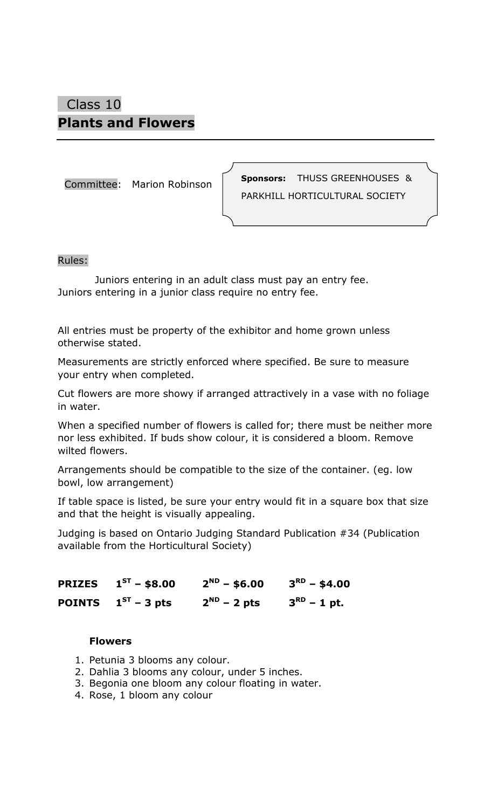## Class 10 **Plants and Flowers**

Committee: Marion Robinson

**Sponsors:** THUSS GREENHOUSES & PARKHILL HORTICULTURAL SOCIETY

#### Rules:

 Juniors entering in an adult class must pay an entry fee. Juniors entering in a junior class require no entry fee.

All entries must be property of the exhibitor and home grown unless otherwise stated.

Measurements are strictly enforced where specified. Be sure to measure your entry when completed.

Cut flowers are more showy if arranged attractively in a vase with no foliage in water.

When a specified number of flowers is called for; there must be neither more nor less exhibited. If buds show colour, it is considered a bloom. Remove wilted flowers.

Arrangements should be compatible to the size of the container. (eg. low bowl, low arrangement)

If table space is listed, be sure your entry would fit in a square box that size and that the height is visually appealing.

Judging is based on Ontario Judging Standard Publication #34 (Publication available from the Horticultural Society)

| <b>PRIZES</b> $1^{ST}$ – \$8.00 | $2^{ND}$ – \$6.00 | $3^{RD}$ – \$4.00    |
|---------------------------------|-------------------|----------------------|
| <b>POINTS</b> $1^{ST}$ – 3 pts  | $2^{ND}$ – 2 pts  | $3^{\sf RD}$ – 1 pt. |

#### **Flowers**

- 1. Petunia 3 blooms any colour.
- 2. Dahlia 3 blooms any colour, under 5 inches.
- 3. Begonia one bloom any colour floating in water.
- 4. Rose, 1 bloom any colour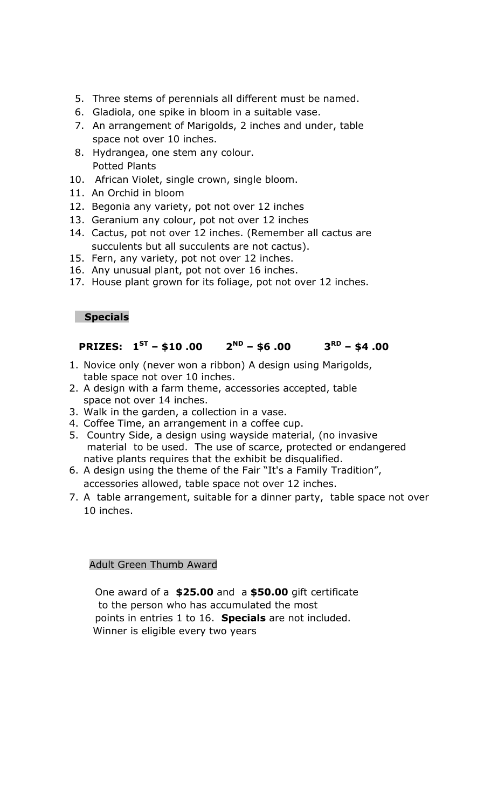- 5. Three stems of perennials all different must be named.
- 6. Gladiola, one spike in bloom in a suitable vase.
- 7. An arrangement of Marigolds, 2 inches and under, table space not over 10 inches.
- 8. Hydrangea, one stem any colour. Potted Plants
- 10. African Violet, single crown, single bloom.
- 11. An Orchid in bloom
- 12. Begonia any variety, pot not over 12 inches
- 13. Geranium any colour, pot not over 12 inches
- 14. Cactus, pot not over 12 inches. (Remember all cactus are succulents but all succulents are not cactus).
- 15. Fern, any variety, pot not over 12 inches.
- 16. Any unusual plant, pot not over 16 inches.
- 17. House plant grown for its foliage, pot not over 12 inches.

#### **Specials**

#### **PRIZES: 1 ST – \$10 .00 2 ND – \$6 .00 3 RD – \$4 .00**

- 1. Novice only (never won a ribbon) A design using Marigolds, table space not over 10 inches.
- 2. A design with a farm theme, accessories accepted, table space not over 14 inches.
- 3. Walk in the garden, a collection in a vase.
- 4. Coffee Time, an arrangement in a coffee cup.
- 5. Country Side, a design using wayside material, (no invasive material to be used. The use of scarce, protected or endangered native plants requires that the exhibit be disqualified.
- 6. A design using the theme of the Fair "It's a Family Tradition", accessories allowed, table space not over 12 inches.
- 7. A table arrangement, suitable for a dinner party, table space not over 10 inches.

#### Adult Green Thumb Award

 One award of a **\$25.00** and a **\$50.00** gift certificate to the person who has accumulated the most points in entries 1 to 16. **Specials** are not included. Winner is eligible every two years